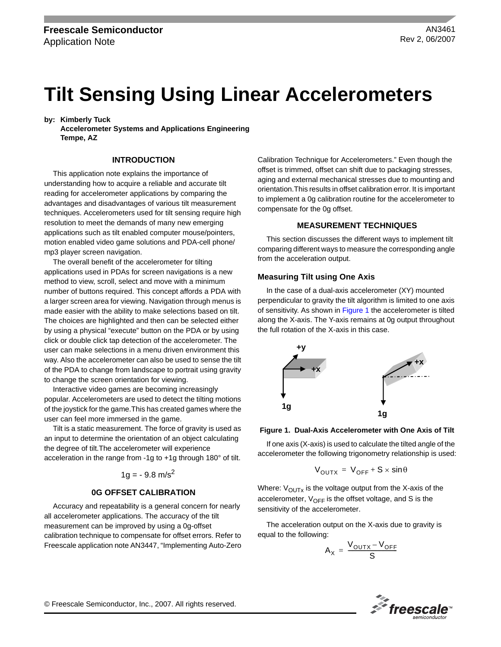# **Tilt Sensing Using Linear Accelerometers**

**by: Kimberly Tuck**

**Accelerometer Systems and Applications Engineering Tempe, AZ**

# **INTRODUCTION**

This application note explains the importance of understanding how to acquire a reliable and accurate tilt reading for accelerometer applications by comparing the advantages and disadvantages of various tilt measurement techniques. Accelerometers used for tilt sensing require high resolution to meet the demands of many new emerging applications such as tilt enabled computer mouse/pointers, motion enabled video game solutions and PDA-cell phone/ mp3 player screen navigation.

The overall benefit of the accelerometer for tilting applications used in PDAs for screen navigations is a new method to view, scroll, select and move with a minimum number of buttons required. This concept affords a PDA with a larger screen area for viewing. Navigation through menus is made easier with the ability to make selections based on tilt. The choices are highlighted and then can be selected either by using a physical "execute" button on the PDA or by using click or double click tap detection of the accelerometer. The user can make selections in a menu driven environment this way. Also the accelerometer can also be used to sense the tilt of the PDA to change from landscape to portrait using gravity to change the screen orientation for viewing.

Interactive video games are becoming increasingly popular. Accelerometers are used to detect the tilting motions of the joystick for the game.This has created games where the user can feel more immersed in the game.

Tilt is a static measurement. The force of gravity is used as an input to determine the orientation of an object calculating the degree of tilt.The accelerometer will experience acceleration in the range from -1g to +1g through 180° of tilt.

$$
1g = -9.8 \text{ m/s}^2
$$

# **0G OFFSET CALIBRATION**

Accuracy and repeatability is a general concern for nearly all accelerometer applications. The accuracy of the tilt measurement can be improved by using a 0g-offset calibration technique to compensate for offset errors. Refer to Freescale application note AN3447, "Implementing Auto-Zero Calibration Technique for Accelerometers." Even though the offset is trimmed, offset can shift due to packaging stresses, aging and external mechanical stresses due to mounting and orientation.This results in offset calibration error. It is important to implement a 0g calibration routine for the accelerometer to compensate for the 0g offset.

#### **MEASUREMENT TECHNIQUES**

This section discusses the different ways to implement tilt comparing different ways to measure the corresponding angle from the acceleration output.

# **Measuring Tilt using One Axis**

In the case of a dual-axis accelerometer (XY) mounted perpendicular to gravity the tilt algorithm is limited to one axis of sensitivity. As shown in [Figure](#page-0-0) 1 the accelerometer is tilted along the X-axis. The Y-axis remains at 0g output throughout the full rotation of the X-axis in this case.



#### <span id="page-0-0"></span>**Figure 1. Dual-Axis Accelerometer with One Axis of Tilt**

If one axis (X-axis) is used to calculate the tilted angle of the accelerometer the following trigonometry relationship is used:

$$
V_{\text{OUTX}} = V_{\text{OFF}} + S \times \sin \theta
$$

Where:  $V_{\text{OUTX}}$  is the voltage output from the X-axis of the accelerometer,  $V_{OFF}$  is the offset voltage, and S is the sensitivity of the accelerometer.

The acceleration output on the X-axis due to gravity is equal to the following:

$$
A_X = \frac{V_{OUTX} - V_{OFF}}{S}
$$

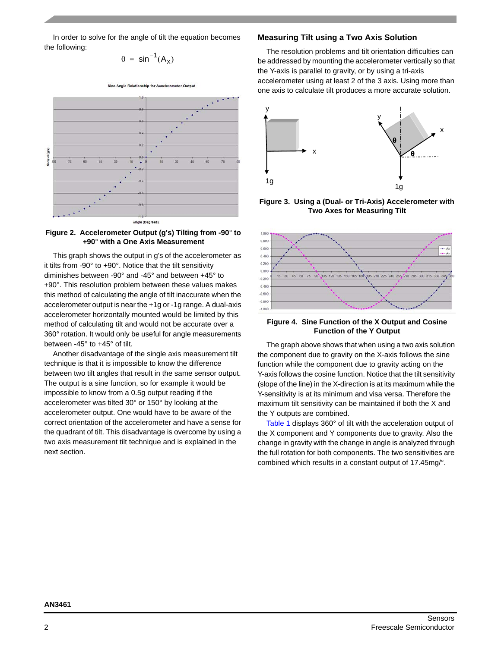In order to solve for the angle of tilt the equation becomes the following:

 $\theta = \sin^{-1}(A_{\vee})$ 







This graph shows the output in g's of the accelerometer as it tilts from -90° to +90°. Notice that the tilt sensitivity diminishes between -90° and -45° and between +45° to +90°. This resolution problem between these values makes this method of calculating the angle of tilt inaccurate when the accelerometer output is near the +1g or -1g range. A dual-axis accelerometer horizontally mounted would be limited by this method of calculating tilt and would not be accurate over a 360° rotation. It would only be useful for angle measurements between -45° to +45° of tilt.

Another disadvantage of the single axis measurement tilt technique is that it is impossible to know the difference between two tilt angles that result in the same sensor output. The output is a sine function, so for example it would be impossible to know from a 0.5g output reading if the accelerometer was tilted 30° or 150° by looking at the accelerometer output. One would have to be aware of the correct orientation of the accelerometer and have a sense for the quadrant of tilt. This disadvantage is overcome by using a two axis measurement tilt technique and is explained in the next section.

# **Measuring Tilt using a Two Axis Solution**

The resolution problems and tilt orientation difficulties can be addressed by mounting the accelerometer vertically so that the Y-axis is parallel to gravity, or by using a tri-axis accelerometer using at least 2 of the 3 axis. Using more than one axis to calculate tilt produces a more accurate solution.



**Figure 3. Using a (Dual- or Tri-Axis) Accelerometer with Two Axes for Measuring Tilt**



# **Figure 4. Sine Function of the X Output and Cosine Function of the Y Output**

The graph above shows that when using a two axis solution the component due to gravity on the X-axis follows the sine function while the component due to gravity acting on the Y-axis follows the cosine function. Notice that the tilt sensitivity (slope of the line) in the X-direction is at its maximum while the Y-sensitivity is at its minimum and visa versa. Therefore the maximum tilt sensitivity can be maintained if both the X and the Y outputs are combined.

[Table](#page-2-0) 1 displays 360° of tilt with the acceleration output of the X component and Y components due to gravity. Also the change in gravity with the change in angle is analyzed through the full rotation for both components. The two sensitivities are combined which results in a constant output of 17.45mg/°.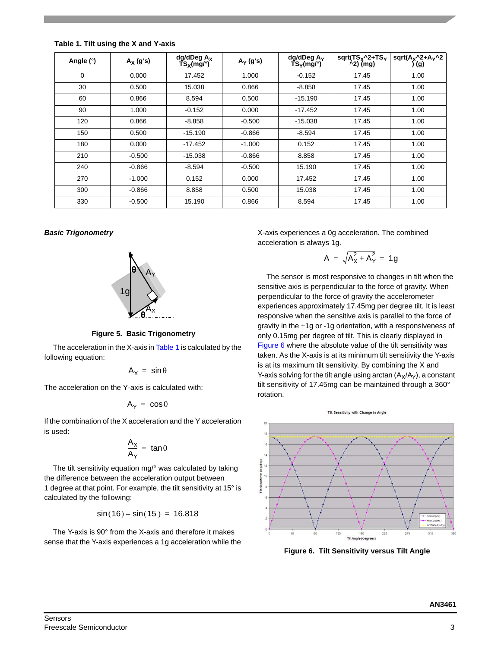| Angle (°) | $A_X$ (g's) | dg/dDeg A <sub>X</sub><br>TS <sub>X</sub> (mg/°) | $A_Y$ (g's) | $dg/dDeg A_Y$<br>$\overline{\text{TS}}_{\text{Y}}(\text{mg}/\text{°})$ | $sqrt(TS_x^2+TS_y)$<br>$\lambda$ 2) (mg) | $sqrt(A_X^2+A_Y^2)$<br>) (g) |
|-----------|-------------|--------------------------------------------------|-------------|------------------------------------------------------------------------|------------------------------------------|------------------------------|
| 0         | 0.000       | 17.452                                           | 1.000       | $-0.152$                                                               | 17.45                                    | 1.00                         |
| 30        | 0.500       | 15.038                                           | 0.866       | $-8.858$                                                               | 17.45                                    | 1.00                         |
| 60        | 0.866       | 8.594                                            | 0.500       | $-15.190$                                                              | 17.45                                    | 1.00                         |
| 90        | 1.000       | $-0.152$                                         | 0.000       | $-17.452$                                                              | 17.45                                    | 1.00                         |
| 120       | 0.866       | $-8.858$                                         | $-0.500$    | $-15.038$                                                              | 17.45                                    | 1.00                         |
| 150       | 0.500       | $-15.190$                                        | $-0.866$    | $-8.594$                                                               | 17.45                                    | 1.00                         |
| 180       | 0.000       | $-17.452$                                        | $-1.000$    | 0.152                                                                  | 17.45                                    | 1.00                         |
| 210       | $-0.500$    | $-15.038$                                        | $-0.866$    | 8.858                                                                  | 17.45                                    | 1.00                         |
| 240       | $-0.866$    | $-8.594$                                         | $-0.500$    | 15.190                                                                 | 17.45                                    | 1.00                         |
| 270       | $-1.000$    | 0.152                                            | 0.000       | 17.452                                                                 | 17.45                                    | 1.00                         |
| 300       | $-0.866$    | 8.858                                            | 0.500       | 15.038                                                                 | 17.45                                    | 1.00                         |
| 330       | $-0.500$    | 15.190                                           | 0.866       | 8.594                                                                  | 17.45                                    | 1.00                         |

<span id="page-2-0"></span>**Table 1. Tilt using the X and Y-axis**

# *Basic Trigonometry*



**Figure 5. Basic Trigonometry**

The acceleration in the X-axis in [Table](#page-2-0) 1 is calculated by the following equation:

$$
A_{x} = \sin \theta
$$

The acceleration on the Y-axis is calculated with:

$$
A_{Y} = \cos \theta
$$

If the combination of the X acceleration and the Y acceleration is used:

$$
\frac{A_X}{A_Y} = \, \, \text{tan} \, \theta
$$

The tilt sensitivity equation mg/° was calculated by taking the difference between the acceleration output between 1 degree at that point. For example, the tilt sensitivity at 15° is calculated by the following:

$$
\sin(16) - \sin(15) = 16.818
$$

The Y-axis is 90° from the X-axis and therefore it makes sense that the Y-axis experiences a 1g acceleration while the X-axis experiences a 0g acceleration. The combined acceleration is always 1g.

$$
A = \sqrt{A_X^2 + A_Y^2} = 1g
$$

The sensor is most responsive to changes in tilt when the sensitive axis is perpendicular to the force of gravity. When perpendicular to the force of gravity the accelerometer experiences approximately 17.45mg per degree tilt. It is least responsive when the sensitive axis is parallel to the force of gravity in the +1g or -1g orientation, with a responsiveness of only 0.15mg per degree of tilt. This is clearly displayed in [Figure](#page-2-1) 6 where the absolute value of the tilt sensitivity was taken. As the X-axis is at its minimum tilt sensitivity the Y-axis is at its maximum tilt sensitivity. By combining the X and Y-axis solving for the tilt angle using arctan  $(A_x/A_y)$ , a constant tilt sensitivity of 17.45mg can be maintained through a 360° rotation.



<span id="page-2-1"></span>**Figure 6. Tilt Sensitivity versus Tilt Angle**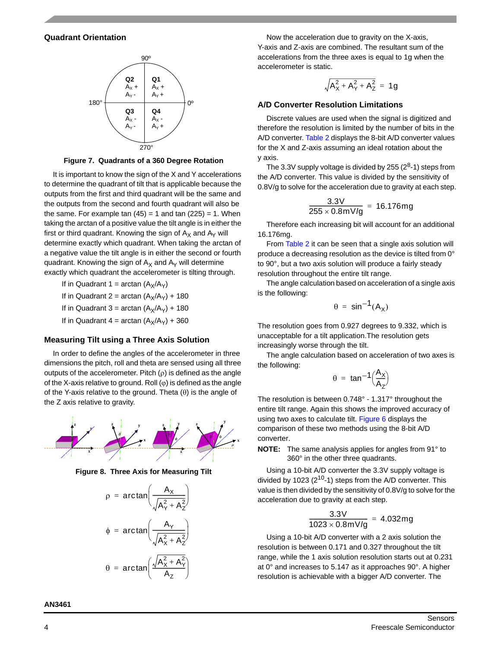# **Quadrant Orientation**



**Figure 7. Quadrants of a 360 Degree Rotation**

It is important to know the sign of the X and Y accelerations to determine the quadrant of tilt that is applicable because the outputs from the first and third quadrant will be the same and the outputs from the second and fourth quadrant will also be the same. For example tan  $(45) = 1$  and tan  $(225) = 1$ . When taking the arctan of a positive value the tilt angle is in either the first or third quadrant. Knowing the sign of  $A_X$  and  $A_Y$  will determine exactly which quadrant. When taking the arctan of a negative value the tilt angle is in either the second or fourth quadrant. Knowing the sign of  $A_X$  and  $A_Y$  will determine exactly which quadrant the accelerometer is tilting through.

If in Quadrant 1 = arctan  $(A_x/A_y)$ 

If in Quadrant 2 = arctan  $(A_X/A_Y)$  + 180

If in Quadrant 3 = arctan  $(A_X/A_Y)$  + 180

If in Quadrant 4 = arctan  $(A_X/A_Y)$  + 360

# **Measuring Tilt using a Three Axis Solution**

In order to define the angles of the accelerometer in three dimensions the pitch, roll and theta are sensed using all three outputs of the accelerometer. Pitch  $(\rho)$  is defined as the angle of the X-axis relative to ground. Roll  $(\varphi)$  is defined as the angle of the Y-axis relative to the ground. Theta  $(\theta)$  is the angle of the Z axis relative to gravity.



**Figure 8. Three Axis for Measuring Tilt**



Now the acceleration due to gravity on the X-axis, Y-axis and Z-axis are combined. The resultant sum of the accelerations from the three axes is equal to 1g when the accelerometer is static.

$$
\sqrt{A_X^2 + A_Y^2 + A_Z^2} = 1g
$$

#### **A/D Converter Resolution Limitations**

Discrete values are used when the signal is digitized and therefore the resolution is limited by the number of bits in the A/D converter. [Table](#page-4-0) 2 displays the 8-bit A/D converter values for the X and Z-axis assuming an ideal rotation about the y axis.

The 3.3V supply voltage is divided by 255  $(2^8-1)$  steps from the A/D converter. This value is divided by the sensitivity of 0.8V/g to solve for the acceleration due to gravity at each step.

$$
\frac{3.3 \text{V}}{255 \times 0.8 \text{mV/g}} = 16.176 \text{mg}
$$

Therefore each increasing bit will account for an additional 16.176mg.

From [Table](#page-4-0) 2 it can be seen that a single axis solution will produce a decreasing resolution as the device is tilted from 0° to 90°, but a two axis solution will produce a fairly steady resolution throughout the entire tilt range.

The angle calculation based on acceleration of a single axis is the following:

$$
\theta = \sin^{-1}(A_X)
$$

The resolution goes from 0.927 degrees to 9.332, which is unacceptable for a tilt application.The resolution gets increasingly worse through the tilt.

The angle calculation based on acceleration of two axes is the following:

$$
\theta = \tan^{-1}\Big(\frac{A_X}{A_Z}\Big)
$$

The resolution is between 0.748° - 1.317° throughout the entire tilt range. Again this shows the improved accuracy of using two axes to calculate tilt. [Figure 6](#page-2-1) displays the comparison of these two methods using the 8-bit A/D converter.

**NOTE:** The same analysis applies for angles from 91° to 360° in the other three quadrants.

Using a 10-bit A/D converter the 3.3V supply voltage is divided by 1023  $(2^{10}-1)$  steps from the A/D converter. This value is then divided by the sensitivity of 0.8V/g to solve for the acceleration due to gravity at each step.

$$
\frac{3.3 \text{V}}{1023 \times 0.8 \text{mV/g}} = 4.032 \text{mg}
$$

Using a 10-bit A/D converter with a 2 axis solution the resolution is between 0.171 and 0.327 throughout the tilt range, while the 1 axis solution resolution starts out at 0.231 at 0° and increases to 5.147 as it approaches 90°. A higher resolution is achievable with a bigger A/D converter. The

**AN3461**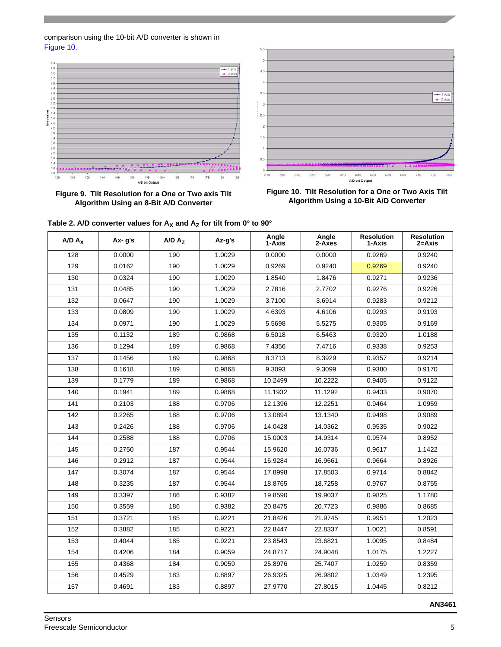# comparison using the 10-bit A/D converter is shown in [Figure](#page-4-1) 10.



**Figure 9. Tilt Resolution for a One or Two axis Tilt Algorithm Using an 8-Bit A/D Converter**



<span id="page-4-1"></span>**Figure 10. Tilt Resolution for a One or Two Axis Tilt Algorithm Using a 10-Bit A/D Converter**

|           |            | $A/D A_Z$ |        | Angle<br>1-Axis | Angle    | <b>Resolution</b> | <b>Resolution</b> |
|-----------|------------|-----------|--------|-----------------|----------|-------------------|-------------------|
| $A/D A_X$ | $Ax - g's$ |           | Az-g's |                 | $2-Axes$ | 1-Axis            | 2=Axis            |
| 128       | 0.0000     | 190       | 1.0029 | 0.0000          | 0.0000   | 0.9269            | 0.9240            |
| 129       | 0.0162     | 190       | 1.0029 | 0.9269          | 0.9240   | 0.9269            | 0.9240            |
| 130       | 0.0324     | 190       | 1.0029 | 1.8540          | 1.8476   | 0.9271            | 0.9236            |
| 131       | 0.0485     | 190       | 1.0029 | 2.7816          | 2.7702   | 0.9276            | 0.9226            |
| 132       | 0.0647     | 190       | 1.0029 | 3.7100          | 3.6914   | 0.9283            | 0.9212            |
| 133       | 0.0809     | 190       | 1.0029 | 4.6393          | 4.6106   | 0.9293            | 0.9193            |
| 134       | 0.0971     | 190       | 1.0029 | 5.5698          | 5.5275   | 0.9305            | 0.9169            |
| 135       | 0.1132     | 189       | 0.9868 | 6.5018          | 6.5463   | 0.9320            | 1.0188            |
| 136       | 0.1294     | 189       | 0.9868 | 7.4356          | 7.4716   | 0.9338            | 0.9253            |
| 137       | 0.1456     | 189       | 0.9868 | 8.3713          | 8.3929   | 0.9357            | 0.9214            |
| 138       | 0.1618     | 189       | 0.9868 | 9.3093          | 9.3099   | 0.9380            | 0.9170            |
| 139       | 0.1779     | 189       | 0.9868 | 10.2499         | 10.2222  | 0.9405            | 0.9122            |
| 140       | 0.1941     | 189       | 0.9868 | 11.1932         | 11.1292  | 0.9433            | 0.9070            |
| 141       | 0.2103     | 188       | 0.9706 | 12.1396         | 12.2251  | 0.9464            | 1.0959            |
| 142       | 0.2265     | 188       | 0.9706 | 13.0894         | 13.1340  | 0.9498            | 0.9089            |
| 143       | 0.2426     | 188       | 0.9706 | 14.0428         | 14.0362  | 0.9535            | 0.9022            |
| 144       | 0.2588     | 188       | 0.9706 | 15.0003         | 14.9314  | 0.9574            | 0.8952            |
| 145       | 0.2750     | 187       | 0.9544 | 15.9620         | 16.0736  | 0.9617            | 1.1422            |
| 146       | 0.2912     | 187       | 0.9544 | 16.9284         | 16.9661  | 0.9664            | 0.8926            |
| 147       | 0.3074     | 187       | 0.9544 | 17.8998         | 17.8503  | 0.9714            | 0.8842            |
| 148       | 0.3235     | 187       | 0.9544 | 18.8765         | 18.7258  | 0.9767            | 0.8755            |
| 149       | 0.3397     | 186       | 0.9382 | 19.8590         | 19.9037  | 0.9825            | 1.1780            |
| 150       | 0.3559     | 186       | 0.9382 | 20.8475         | 20.7723  | 0.9886            | 0.8685            |
| 151       | 0.3721     | 185       | 0.9221 | 21.8426         | 21.9745  | 0.9951            | 1.2023            |
| 152       | 0.3882     | 185       | 0.9221 | 22.8447         | 22.8337  | 1.0021            | 0.8591            |
| 153       | 0.4044     | 185       | 0.9221 | 23.8543         | 23.6821  | 1.0095            | 0.8484            |
| 154       | 0.4206     | 184       | 0.9059 | 24.8717         | 24.9048  | 1.0175            | 1.2227            |
| 155       | 0.4368     | 184       | 0.9059 | 25.8976         | 25.7407  | 1.0259            | 0.8359            |
| 156       | 0.4529     | 183       | 0.8897 | 26.9325         | 26.9802  | 1.0349            | 1.2395            |
| 157       | 0.4691     | 183       | 0.8897 | 27.9770         | 27.8015  | 1.0445            | 0.8212            |

<span id="page-4-0"></span>Table 2. A/D converter values for A<sub>y</sub> and A<sub>z</sub> for tilt from 0° to 90°

**AN3461**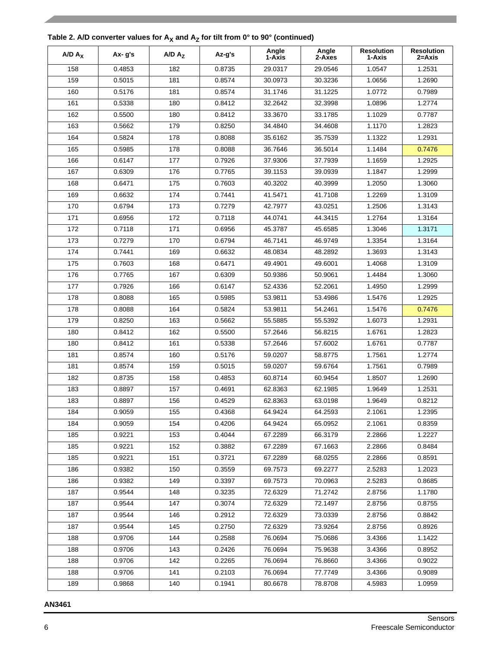| $A/D A_X$ | $Ax - g's$ | $A/D A_Z$ | Az-g's | Angle<br>1-Axis | Angle<br>2-Axes | <b>Resolution</b><br>1-Axis | <b>Resolution</b><br>2=Axis |
|-----------|------------|-----------|--------|-----------------|-----------------|-----------------------------|-----------------------------|
| 158       | 0.4853     | 182       | 0.8735 | 29.0317         | 29.0546         | 1.0547                      | 1.2531                      |
| 159       | 0.5015     | 181       | 0.8574 | 30.0973         | 30.3236         | 1.0656                      | 1.2690                      |
| 160       | 0.5176     | 181       | 0.8574 | 31.1746         | 31.1225         | 1.0772                      | 0.7989                      |
| 161       | 0.5338     | 180       | 0.8412 | 32.2642         | 32.3998         | 1.0896                      | 1.2774                      |
| 162       | 0.5500     | 180       | 0.8412 | 33.3670         | 33.1785         | 1.1029                      | 0.7787                      |
| 163       | 0.5662     | 179       | 0.8250 | 34.4840         | 34.4608         | 1.1170                      | 1.2823                      |
| 164       | 0.5824     | 178       | 0.8088 | 35.6162         | 35.7539         | 1.1322                      | 1.2931                      |
| 165       | 0.5985     | 178       | 0.8088 | 36.7646         | 36.5014         | 1.1484                      | 0.7476                      |
| 166       | 0.6147     | 177       | 0.7926 | 37.9306         | 37.7939         | 1.1659                      | 1.2925                      |
| 167       | 0.6309     | 176       | 0.7765 | 39.1153         | 39.0939         | 1.1847                      | 1.2999                      |
| 168       | 0.6471     | 175       | 0.7603 | 40.3202         | 40.3999         | 1.2050                      | 1.3060                      |
| 169       | 0.6632     | 174       | 0.7441 | 41.5471         | 41.7108         | 1.2269                      | 1.3109                      |
| 170       | 0.6794     | 173       | 0.7279 | 42.7977         | 43.0251         | 1.2506                      | 1.3143                      |
| 171       | 0.6956     | 172       | 0.7118 | 44.0741         | 44.3415         | 1.2764                      | 1.3164                      |
| 172       | 0.7118     | 171       | 0.6956 | 45.3787         | 45.6585         | 1.3046                      | 1.3171                      |
| 173       | 0.7279     | 170       | 0.6794 | 46.7141         | 46.9749         | 1.3354                      | 1.3164                      |
| 174       | 0.7441     | 169       | 0.6632 | 48.0834         | 48.2892         | 1.3693                      | 1.3143                      |
| 175       | 0.7603     | 168       | 0.6471 | 49.4901         | 49.6001         | 1.4068                      | 1.3109                      |
| 176       | 0.7765     | 167       | 0.6309 | 50.9386         | 50.9061         | 1.4484                      | 1.3060                      |
| 177       | 0.7926     | 166       | 0.6147 | 52.4336         | 52.2061         | 1.4950                      | 1.2999                      |
| 178       | 0.8088     | 165       | 0.5985 | 53.9811         | 53.4986         | 1.5476                      | 1.2925                      |
| 178       | 0.8088     | 164       | 0.5824 | 53.9811         | 54.2461         | 1.5476                      | 0.7476                      |
| 179       | 0.8250     | 163       | 0.5662 | 55.5885         | 55.5392         | 1.6073                      | 1.2931                      |
| 180       | 0.8412     | 162       | 0.5500 | 57.2646         | 56.8215         | 1.6761                      | 1.2823                      |
| 180       | 0.8412     | 161       | 0.5338 | 57.2646         | 57.6002         | 1.6761                      | 0.7787                      |
| 181       | 0.8574     | 160       | 0.5176 | 59.0207         | 58.8775         | 1.7561                      | 1.2774                      |
| 181       | 0.8574     | 159       | 0.5015 | 59.0207         | 59.6764         | 1.7561                      | 0.7989                      |
| 182       | 0.8735     | 158       | 0.4853 | 60.8714         | 60.9454         | 1.8507                      | 1.2690                      |
| 183       | 0.8897     | 157       | 0.4691 | 62.8363         | 62.1985         | 1.9649                      | 1.2531                      |
| 183       | 0.8897     | 156       | 0.4529 | 62.8363         | 63.0198         | 1.9649                      | 0.8212                      |
| 184       | 0.9059     | 155       | 0.4368 | 64.9424         | 64.2593         | 2.1061                      | 1.2395                      |
| 184       | 0.9059     | 154       | 0.4206 | 64.9424         | 65.0952         | 2.1061                      | 0.8359                      |
| 185       | 0.9221     | 153       | 0.4044 | 67.2289         | 66.3179         | 2.2866                      | 1.2227                      |
| 185       | 0.9221     | 152       | 0.3882 | 67.2289         | 67.1663         | 2.2866                      | 0.8484                      |
| 185       | 0.9221     | 151       | 0.3721 | 67.2289         | 68.0255         | 2.2866                      | 0.8591                      |
| 186       | 0.9382     | 150       | 0.3559 | 69.7573         | 69.2277         | 2.5283                      | 1.2023                      |
| 186       | 0.9382     | 149       | 0.3397 | 69.7573         | 70.0963         | 2.5283                      | 0.8685                      |
| 187       | 0.9544     | 148       | 0.3235 | 72.6329         | 71.2742         | 2.8756                      | 1.1780                      |
| 187       | 0.9544     | 147       | 0.3074 | 72.6329         | 72.1497         | 2.8756                      | 0.8755                      |
| 187       | 0.9544     | 146       | 0.2912 | 72.6329         | 73.0339         | 2.8756                      | 0.8842                      |
| 187       | 0.9544     | 145       | 0.2750 | 72.6329         | 73.9264         | 2.8756                      | 0.8926                      |
| 188       | 0.9706     | 144       | 0.2588 | 76.0694         | 75.0686         | 3.4366                      | 1.1422                      |
| 188       | 0.9706     | 143       | 0.2426 | 76.0694         | 75.9638         | 3.4366                      | 0.8952                      |
| 188       | 0.9706     | 142       | 0.2265 | 76.0694         | 76.8660         | 3.4366                      | 0.9022                      |
| 188       | 0.9706     | 141       | 0.2103 | 76.0694         | 77.7749         | 3.4366                      | 0.9089                      |
| 189       | 0.9868     | 140       | 0.1941 | 80.6678         | 78.8708         | 4.5983                      | 1.0959                      |

# **AN3461**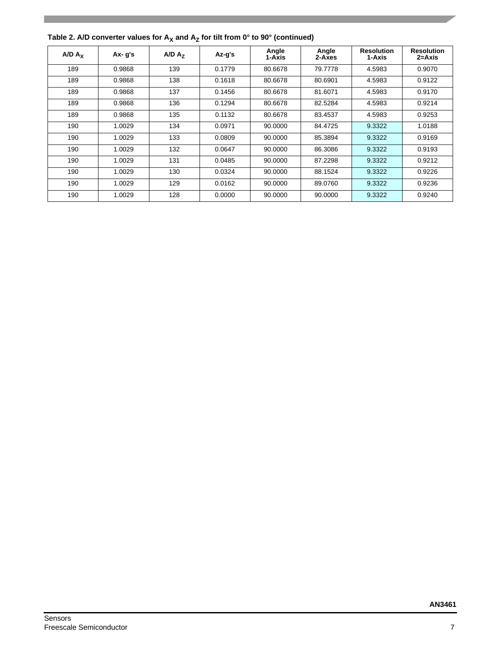| A/D A <sub>x</sub> | $Ax - g's$ | A/D A <sub>7</sub> | Az-g's | Angle<br>1-Axis | Angle<br>2-Axes | <b>Resolution</b><br>1-Axis | <b>Resolution</b><br>2=Axis |
|--------------------|------------|--------------------|--------|-----------------|-----------------|-----------------------------|-----------------------------|
| 189                | 0.9868     | 139                | 0.1779 | 80.6678         | 79.7778         | 4.5983                      | 0.9070                      |
| 189                | 0.9868     | 138                | 0.1618 | 80.6678         | 80.6901         | 4.5983                      | 0.9122                      |
| 189                | 0.9868     | 137                | 0.1456 | 80.6678         | 81.6071         | 4.5983                      | 0.9170                      |
| 189                | 0.9868     | 136                | 0.1294 | 80.6678         | 82.5284         | 4.5983                      | 0.9214                      |
| 189                | 0.9868     | 135                | 0.1132 | 80.6678         | 83.4537         | 4.5983                      | 0.9253                      |
| 190                | 1.0029     | 134                | 0.0971 | 90.0000         | 84.4725         | 9.3322                      | 1.0188                      |
| 190                | 1.0029     | 133                | 0.0809 | 90.0000         | 85.3894         | 9.3322                      | 0.9169                      |
| 190                | 1.0029     | 132                | 0.0647 | 90.0000         | 86.3086         | 9.3322                      | 0.9193                      |
| 190                | 1.0029     | 131                | 0.0485 | 90.0000         | 87.2298         | 9.3322                      | 0.9212                      |
| 190                | 1.0029     | 130                | 0.0324 | 90.0000         | 88.1524         | 9.3322                      | 0.9226                      |
| 190                | 1.0029     | 129                | 0.0162 | 90.0000         | 89.0760         | 9.3322                      | 0.9236                      |
| 190                | 1.0029     | 128                | 0.0000 | 90.0000         | 90.0000         | 9.3322                      | 0.9240                      |

Table 2. A/D converter values for  $A_X$  and  $A_Z$  for tilt from 0° to 90° (continued)